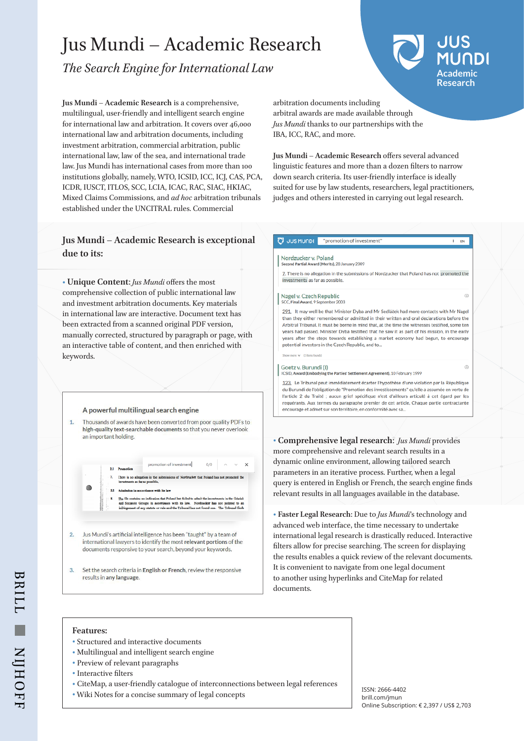# Jus Mundi – Academic Research

*The Search Engine for International Law*

**Academic Research**

 $\frac{1}{2}$  FN

 $\mathbb{G}$ 

**Jus Mundi – Academic Research** is a comprehensive, multilingual, user-friendly and intelligent search engine for international law and arbitration. It covers over 46,000 international law and arbitration documents, including investment arbitration, commercial arbitration, public international law, law of the sea, and international trade law. Jus Mundi has international cases from more than 100 institutions globally, namely, WTO, ICSID, ICC, ICJ, CAS, PCA, ICDR, IUSCT, ITLOS, SCC, LCIA, ICAC, RAC, SIAC, HKIAC, Mixed Claims Commissions, and *ad hoc* arbitration tribunals established under the UNCITRAL rules. Commercial

arbitration documents including arbitral awards are made available through *Jus Mundi* thanks to our partnerships with the IBA, ICC, RAC, and more.

**Jus Mundi – Academic Research** offers several advanced linguistic features and more than a dozen filters to narrow down search criteria. Its user-friendly interface is ideally suited for use by law students, researchers, legal practitioners, judges and others interested in carrying out legal research.

## **Jus Mundi – Academic Research is exceptional due to its:**

**• Unique Content**: *Jus Mundi* offers the most comprehensive collection of public international law and investment arbitration documents. Key materials in international law are interactive. Document text has been extracted from a scanned original PDF version, manually corrected, structured by paragraph or page, with an interactive table of content, and then enriched with keywords.

## A powerful multilingual search engine

Thousands of awards have been converted from poor quality PDFs to  $\overline{1}$ high-quality text-searchable documents so that you never overlook an important holding

|                                                                                                                                                                                                                                                                                       | <b>Premotion</b><br>2.1 |                                                                                                                             |  | promotion of investment |  |  | 0/0 | $\wedge$ $\qquad$ $\vee$ |  |  |
|---------------------------------------------------------------------------------------------------------------------------------------------------------------------------------------------------------------------------------------------------------------------------------------|-------------------------|-----------------------------------------------------------------------------------------------------------------------------|--|-------------------------|--|--|-----|--------------------------|--|--|
|                                                                                                                                                                                                                                                                                       | 7.                      | There is no allegation in the submissions of Nordzucker that Poland has not promoted the<br>investments as far as possible, |  |                         |  |  |     |                          |  |  |
|                                                                                                                                                                                                                                                                                       |                         | Admission in accordance with its law                                                                                        |  |                         |  |  |     |                          |  |  |
| The file contains no indication that Poland has failed to admit the investments in the Gdańsk<br>8.<br>and Szczecin Groups in accordance with its law. Nordzucker has not pointed to an<br>infringement of any statute or rule and the Tribunal has not found one. The Tribunal finds |                         |                                                                                                                             |  |                         |  |  |     |                          |  |  |

Jus Mundi's artificial intelligence has been "taught" by a team of  $\overline{2}$ international lawyers to identify the most relevant portions of the documents responsive to your search, beyond your keywords.

 $\overline{3}$ . Set the search criteria in English or French, review the responsive results in any language.

U JUS MUNDI "promotion of investment"

### Nordzucker v Poland nd Partial Award (Merits), 28 January 2009

7. There is no allegation in the submissions of Nordzucker that Poland has not promoted the investments as far as possible.

#### Nagel v. Czech Republic **SCC. Final Award, 9 Sept**

291. It may well be that Minister Dyba and Mr Sedláček had more contacts with Mr Nagel than they either remembered or admitted in their written and oral declarations before the Arbitral Tribunal. It must be borne in mind that, at the time the witnesses testified, some ter years had passed. Minister Dyba testified that he saw it as part of his mission, in the early years after the steps towards establishing a market economy had begun, to encourag potential investors in the Czech Republic, and to...

Goetz v. Burundi (I)<br>ICSID, Award (Embodying the Parties' Settlement Agreement), 10 February 1999

123. Le Tribunal peut immédiatement écarter l'hypothèse d'une violation par la République du Burundi de l'obligation de "Promotion des investissements" qu'elle a assumée en vertu de l'article 2 du Traité ; aucun grief spécifique n'est d'ailleurs articulé à cet égard par les requérants. Aux termes du paragraphe premier de cet article, Chaque partie contractante encourage et admet sur son territoire, en conformité avec sa.

**• Comprehensive legal research**: *Jus Mundi* provides more comprehensive and relevant search results in a dynamic online environment, allowing tailored search parameters in an iterative process. Further, when a legal query is entered in English or French, the search engine finds relevant results in all languages available in the database.

**• Faster Legal Research**: Due to *Jus Mundi*'s technology and advanced web interface, the time necessary to undertake international legal research is drastically reduced. Interactive filters allow for precise searching. The screen for displaying the results enables a quick review of the relevant documents. It is convenient to navigate from one legal document to another using hyperlinks and CiteMap for related documents.

## **Features:**

- **•** Structured and interactive documents
- **•** Multilingual and intelligent search engine
- **•** Preview of relevant paragraphs
- **•** Interactive filters
- **•** CiteMap, a user-friendly catalogue of interconnections between legal references
- Chemap, a user-memary catalogue of interconnections between regarderences<br>• Wiki Notes for a concise summary of legal concepts

brill.com/jmun Online Subscription: € 2,397 / US\$ 2,703